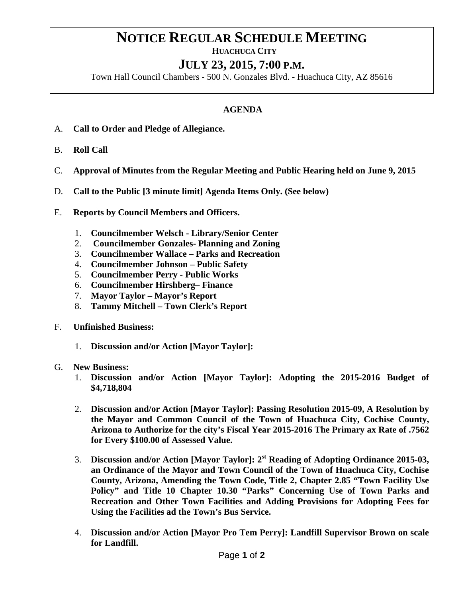## **NOTICE REGULAR SCHEDULE MEETING HUACHUCA CITY**

## **JULY 23, 2015, 7:00 P.M.**

Town Hall Council Chambers - 500 N. Gonzales Blvd. - Huachuca City, AZ 85616

## **AGENDA**

- A. **Call to Order and Pledge of Allegiance.**
- B. **Roll Call**
- C. **Approval of Minutes from the Regular Meeting and Public Hearing held on June 9, 2015**
- D. **Call to the Public [3 minute limit] Agenda Items Only. (See below)**
- E. **Reports by Council Members and Officers.**
	- 1. **Councilmember Welsch - Library/Senior Center**
	- 2. **Councilmember Gonzales- Planning and Zoning**
	- 3. **Councilmember Wallace – Parks and Recreation**
	- 4. **Councilmember Johnson – Public Safety**
	- 5. **Councilmember Perry - Public Works**
	- 6. **Councilmember Hirshberg– Finance**
	- 7. **Mayor Taylor – Mayor's Report**
	- 8. **Tammy Mitchell – Town Clerk's Report**
- F. **Unfinished Business:** 
	- 1. **Discussion and/or Action [Mayor Taylor]:**
- G. **New Business:**
	- 1. **Discussion and/or Action [Mayor Taylor]: Adopting the 2015-2016 Budget of \$4,718,804**
	- 2. **Discussion and/or Action [Mayor Taylor]: Passing Resolution 2015-09, A Resolution by the Mayor and Common Council of the Town of Huachuca City, Cochise County, Arizona to Authorize for the city's Fiscal Year 2015-2016 The Primary ax Rate of .7562 for Every \$100.00 of Assessed Value.**
	- 3. **Discussion and/or Action [Mayor Taylor]: 2st Reading of Adopting Ordinance 2015-03, an Ordinance of the Mayor and Town Council of the Town of Huachuca City, Cochise County, Arizona, Amending the Town Code, Title 2, Chapter 2.85 "Town Facility Use Policy" and Title 10 Chapter 10.30 "Parks" Concerning Use of Town Parks and Recreation and Other Town Facilities and Adding Provisions for Adopting Fees for Using the Facilities ad the Town's Bus Service.**
	- 4. **Discussion and/or Action [Mayor Pro Tem Perry]: Landfill Supervisor Brown on scale for Landfill.**